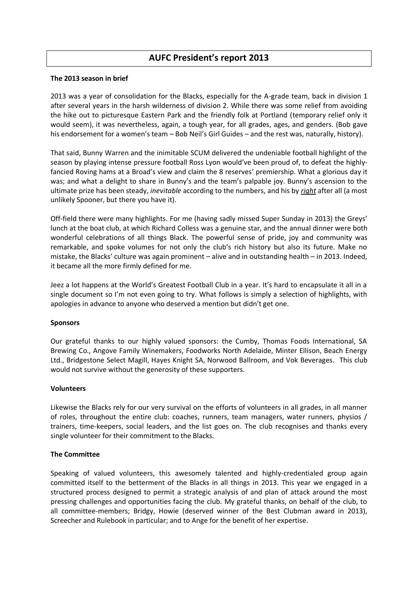# **AUFC President's report 2013**

### **The 2013 season in brief**

2013 was a year of consolidation for the Blacks, especially for the A-grade team, back in division 1 after several years in the harsh wilderness of division 2. While there was some relief from avoiding the hike out to picturesque Eastern Park and the friendly folk at Portland (temporary relief only it would seem), it was nevertheless, again, a tough year, for all grades, ages, and genders. (Bob gave his endorsement for a women's team – Bob Neil's Girl Guides – and the rest was, naturally, history).

That said, Bunny Warren and the inimitable SCUM delivered the undeniable football highlight of the season by playing intense pressure football Ross Lyon would've been proud of, to defeat the highlyfancied Roving hams at a Broad's view and claim the 8 reserves' premiership. What a glorious day it was; and what a delight to share in Bunny's and the team's palpable joy. Bunny's ascension to the ultimate prize has been steady, *inevitable* according to the numbers, and his by *right* after all (a most unlikely Spooner, but there you have it).

Off-field there were many highlights. For me (having sadly missed Super Sunday in 2013) the Greys' lunch at the boat club, at which Richard Colless was a genuine star, and the annual dinner were both wonderful celebrations of all things Black. The powerful sense of pride, joy and community was remarkable, and spoke volumes for not only the club's rich history but also its future. Make no mistake, the Blacks' culture was again prominent – alive and in outstanding health – in 2013. Indeed, it became all the more firmly defined for me.

Jeez a lot happens at the World's Greatest Football Club in a year. It's hard to encapsulate it all in a single document so I'm not even going to try. What follows is simply a selection of highlights, with apologies in advance to anyone who deserved a mention but didn't get one.

### **Sponsors**

Our grateful thanks to our highly valued sponsors: the Cumby, Thomas Foods International, SA Brewing Co., Angove Family Winemakers, Foodworks North Adelaide, Minter Ellison, Beach Energy Ltd., Bridgestone Select Magill, Hayes Knight SA, Norwood Ballroom, and Vok Beverages. This club would not survive without the generosity of these supporters.

### **Volunteers**

Likewise the Blacks rely for our very survival on the efforts of volunteers in all grades, in all manner of roles, throughout the entire club: coaches, runners, team managers, water runners, physios / trainers, time-keepers, social leaders, and the list goes on. The club recognises and thanks every single volunteer for their commitment to the Blacks.

### **The Committee**

Speaking of valued volunteers, this awesomely talented and highly-credentialed group again committed itself to the betterment of the Blacks in all things in 2013. This year we engaged in a structured process designed to permit a strategic analysis of and plan of attack around the most pressing challenges and opportunities facing the club. My grateful thanks, on behalf of the club, to all committee-members; Bridgy, Howie (deserved winner of the Best Clubman award in 2013), Screecher and Rulebook in particular; and to Ange for the benefit of her expertise.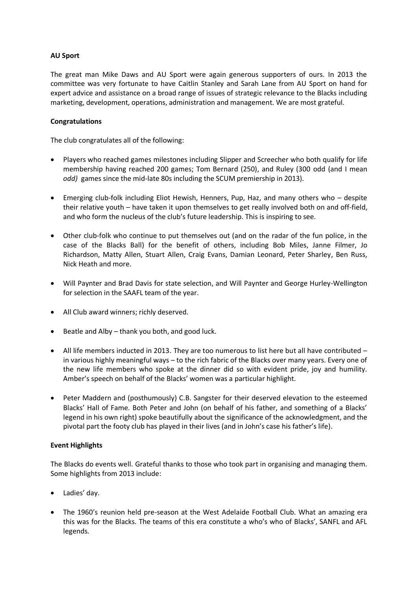### **AU Sport**

The great man Mike Daws and AU Sport were again generous supporters of ours. In 2013 the committee was very fortunate to have Caitlin Stanley and Sarah Lane from AU Sport on hand for expert advice and assistance on a broad range of issues of strategic relevance to the Blacks including marketing, development, operations, administration and management. We are most grateful.

### **Congratulations**

The club congratulates all of the following:

- Players who reached games milestones including Slipper and Screecher who both qualify for life membership having reached 200 games; Tom Bernard (250), and Ruley (300 odd (and I mean *odd)* games since the mid-late 80s including the SCUM premiership in 2013).
- Emerging club-folk including Eliot Hewish, Henners, Pup, Haz, and many others who despite their relative youth – have taken it upon themselves to get really involved both on and off-field, and who form the nucleus of the club's future leadership. This is inspiring to see.
- Other club-folk who continue to put themselves out (and on the radar of the fun police, in the case of the Blacks Ball) for the benefit of others, including Bob Miles, Janne Filmer, Jo Richardson, Matty Allen, Stuart Allen, Craig Evans, Damian Leonard, Peter Sharley, Ben Russ, Nick Heath and more.
- Will Paynter and Brad Davis for state selection, and Will Paynter and George Hurley-Wellington for selection in the SAAFL team of the year.
- All Club award winners; richly deserved.
- $\bullet$  Beatle and Alby thank you both, and good luck.
- All life members inducted in 2013. They are too numerous to list here but all have contributed in various highly meaningful ways – to the rich fabric of the Blacks over many years. Every one of the new life members who spoke at the dinner did so with evident pride, joy and humility. Amber's speech on behalf of the Blacks' women was a particular highlight.
- Peter Maddern and (posthumously) C.B. Sangster for their deserved elevation to the esteemed Blacks' Hall of Fame. Both Peter and John (on behalf of his father, and something of a Blacks' legend in his own right) spoke beautifully about the significance of the acknowledgment, and the pivotal part the footy club has played in their lives (and in John's case his father's life).

### **Event Highlights**

The Blacks do events well. Grateful thanks to those who took part in organising and managing them. Some highlights from 2013 include:

- Ladies' day.
- The 1960's reunion held pre-season at the West Adelaide Football Club. What an amazing era this was for the Blacks. The teams of this era constitute a who's who of Blacks', SANFL and AFL legends.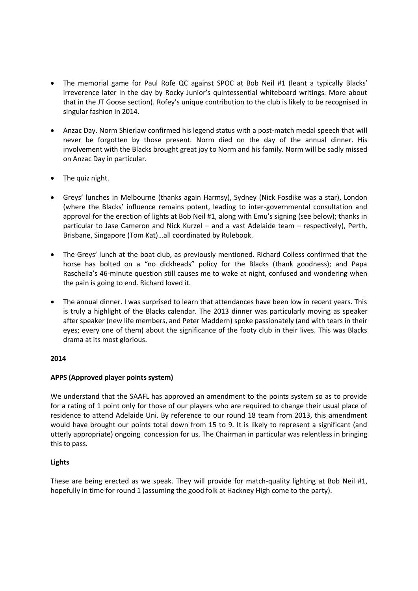- The memorial game for Paul Rofe QC against SPOC at Bob Neil #1 (leant a typically Blacks' irreverence later in the day by Rocky Junior's quintessential whiteboard writings. More about that in the JT Goose section). Rofey's unique contribution to the club is likely to be recognised in singular fashion in 2014.
- Anzac Day. Norm Shierlaw confirmed his legend status with a post-match medal speech that will never be forgotten by those present. Norm died on the day of the annual dinner. His involvement with the Blacks brought great joy to Norm and his family. Norm will be sadly missed on Anzac Day in particular.
- The quiz night.
- Greys' lunches in Melbourne (thanks again Harmsy), Sydney (Nick Fosdike was a star), London (where the Blacks' influence remains potent, leading to inter-governmental consultation and approval for the erection of lights at Bob Neil #1, along with Emu's signing (see below); thanks in particular to Jase Cameron and Nick Kurzel – and a vast Adelaide team – respectively), Perth, Brisbane, Singapore (Tom Kat)…all coordinated by Rulebook.
- The Greys' lunch at the boat club, as previously mentioned. Richard Colless confirmed that the horse has bolted on a "no dickheads" policy for the Blacks (thank goodness); and Papa Raschella's 46-minute question still causes me to wake at night, confused and wondering when the pain is going to end. Richard loved it.
- The annual dinner. I was surprised to learn that attendances have been low in recent years. This is truly a highlight of the Blacks calendar. The 2013 dinner was particularly moving as speaker after speaker (new life members, and Peter Maddern) spoke passionately (and with tears in their eyes; every one of them) about the significance of the footy club in their lives. This was Blacks drama at its most glorious.

# **2014**

# **APPS (Approved player points system)**

We understand that the SAAFL has approved an amendment to the points system so as to provide for a rating of 1 point only for those of our players who are required to change their usual place of residence to attend Adelaide Uni. By reference to our round 18 team from 2013, this amendment would have brought our points total down from 15 to 9. It is likely to represent a significant (and utterly appropriate) ongoing concession for us. The Chairman in particular was relentless in bringing this to pass.

# **Lights**

These are being erected as we speak. They will provide for match-quality lighting at Bob Neil #1, hopefully in time for round 1 (assuming the good folk at Hackney High come to the party).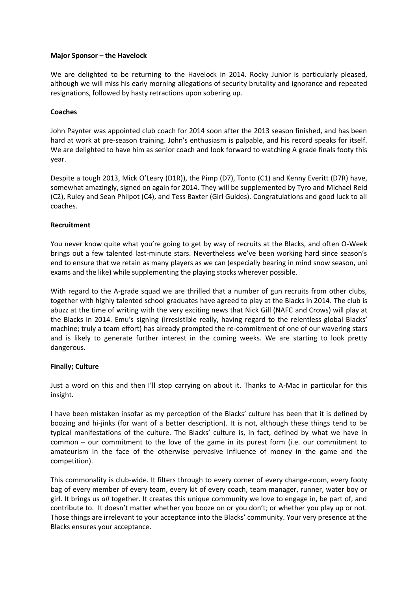### **Major Sponsor – the Havelock**

We are delighted to be returning to the Havelock in 2014. Rocky Junior is particularly pleased, although we will miss his early morning allegations of security brutality and ignorance and repeated resignations, followed by hasty retractions upon sobering up.

### **Coaches**

John Paynter was appointed club coach for 2014 soon after the 2013 season finished, and has been hard at work at pre-season training. John's enthusiasm is palpable, and his record speaks for itself. We are delighted to have him as senior coach and look forward to watching A grade finals footy this year.

Despite a tough 2013, Mick O'Leary (D1R)), the Pimp (D7), Tonto (C1) and Kenny Everitt (D7R) have, somewhat amazingly, signed on again for 2014. They will be supplemented by Tyro and Michael Reid (C2), Ruley and Sean Philpot (C4), and Tess Baxter (Girl Guides). Congratulations and good luck to all coaches.

### **Recruitment**

You never know quite what you're going to get by way of recruits at the Blacks, and often O-Week brings out a few talented last-minute stars. Nevertheless we've been working hard since season's end to ensure that we retain as many players as we can (especially bearing in mind snow season, uni exams and the like) while supplementing the playing stocks wherever possible.

With regard to the A-grade squad we are thrilled that a number of gun recruits from other clubs, together with highly talented school graduates have agreed to play at the Blacks in 2014. The club is abuzz at the time of writing with the very exciting news that Nick Gill (NAFC and Crows) will play at the Blacks in 2014. Emu's signing (irresistible really, having regard to the relentless global Blacks' machine; truly a team effort) has already prompted the re-commitment of one of our wavering stars and is likely to generate further interest in the coming weeks. We are starting to look pretty dangerous.

### **Finally; Culture**

Just a word on this and then I'll stop carrying on about it. Thanks to A-Mac in particular for this insight.

I have been mistaken insofar as my perception of the Blacks' culture has been that it is defined by boozing and hi-jinks (for want of a better description). It is not, although these things tend to be typical manifestations of the culture. The Blacks' culture is, in fact, defined by what we have in common – our commitment to the love of the game in its purest form (i.e. our commitment to amateurism in the face of the otherwise pervasive influence of money in the game and the competition).

This commonality is club-wide. It filters through to every corner of every change-room, every footy bag of every member of every team, every kit of every coach, team manager, runner, water boy or girl. It brings us *all* together. It creates this unique community we love to engage in, be part of, and contribute to. It doesn't matter whether you booze on or you don't; or whether you play up or not. Those things are irrelevant to your acceptance into the Blacks' community. Your very presence at the Blacks ensures your acceptance.